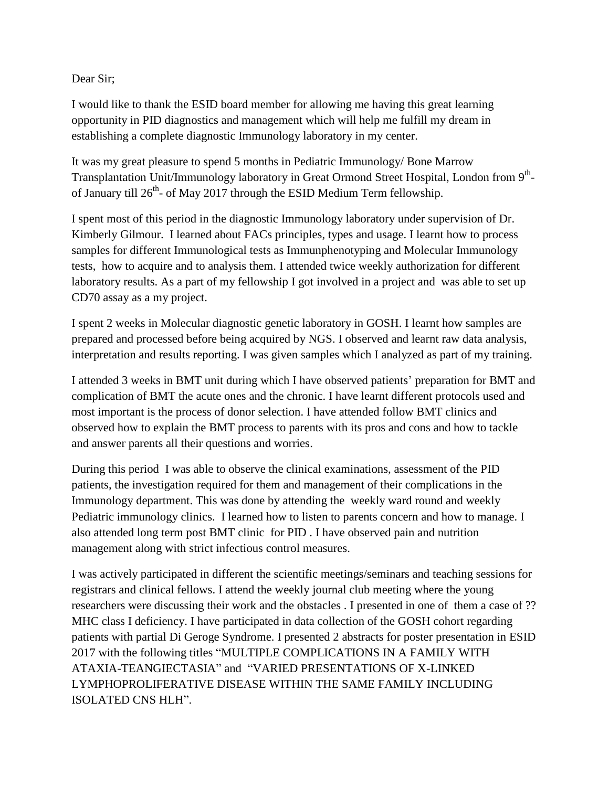## Dear Sir;

I would like to thank the ESID board member for allowing me having this great learning opportunity in PID diagnostics and management which will help me fulfill my dream in establishing a complete diagnostic Immunology laboratory in my center.

It was my great pleasure to spend 5 months in Pediatric Immunology/ Bone Marrow Transplantation Unit/Immunology laboratory in Great Ormond Street Hospital, London from 9<sup>th</sup>of January till  $26<sup>th</sup>$ - of May 2017 through the ESID Medium Term fellowship.

I spent most of this period in the diagnostic Immunology laboratory under supervision of Dr. Kimberly Gilmour. I learned about FACs principles, types and usage. I learnt how to process samples for different Immunological tests as Immunphenotyping and Molecular Immunology tests, how to acquire and to analysis them. I attended twice weekly authorization for different laboratory results. As a part of my fellowship I got involved in a project and was able to set up CD70 assay as a my project.

I spent 2 weeks in Molecular diagnostic genetic laboratory in GOSH. I learnt how samples are prepared and processed before being acquired by NGS. I observed and learnt raw data analysis, interpretation and results reporting. I was given samples which I analyzed as part of my training.

I attended 3 weeks in BMT unit during which I have observed patients' preparation for BMT and complication of BMT the acute ones and the chronic. I have learnt different protocols used and most important is the process of donor selection. I have attended follow BMT clinics and observed how to explain the BMT process to parents with its pros and cons and how to tackle and answer parents all their questions and worries.

During this period I was able to observe the clinical examinations, assessment of the PID patients, the investigation required for them and management of their complications in the Immunology department. This was done by attending the weekly ward round and weekly Pediatric immunology clinics. I learned how to listen to parents concern and how to manage. I also attended long term post BMT clinic for PID . I have observed pain and nutrition management along with strict infectious control measures.

I was actively participated in different the scientific meetings/seminars and teaching sessions for registrars and clinical fellows. I attend the weekly journal club meeting where the young researchers were discussing their work and the obstacles . I presented in one of them a case of ?? MHC class I deficiency. I have participated in data collection of the GOSH cohort regarding patients with partial Di Geroge Syndrome. I presented 2 abstracts for poster presentation in ESID 2017 with the following titles "MULTIPLE COMPLICATIONS IN A FAMILY WITH ATAXIA-TEANGIECTASIA" and "VARIED PRESENTATIONS OF X-LINKED LYMPHOPROLIFERATIVE DISEASE WITHIN THE SAME FAMILY INCLUDING ISOLATED CNS HLH".